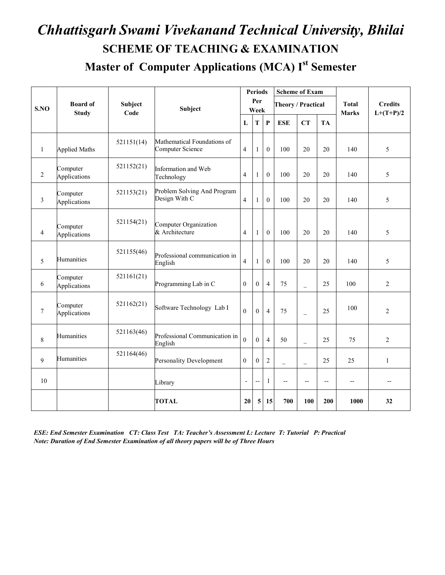# *Chhattisgarh Swami Vivekanand Technical University, Bhilai* **SCHEME OF TEACHING & EXAMINATION**

**Master of Computer Applications (MCA) Ist Semester**

|                  |                                 |                        |                                                        |                         | <b>Periods</b>           |                | <b>Scheme of Exam</b> |                          |           |                              |                               |
|------------------|---------------------------------|------------------------|--------------------------------------------------------|-------------------------|--------------------------|----------------|-----------------------|--------------------------|-----------|------------------------------|-------------------------------|
| S.NO             | <b>Board of</b><br><b>Study</b> | <b>Subject</b><br>Code | Subject                                                |                         | Per<br>Week              |                | Theory / Practical    |                          |           | <b>Total</b><br><b>Marks</b> | <b>Credits</b><br>$L+(T+P)/2$ |
|                  |                                 |                        |                                                        | L                       | T                        | $\mathbf{P}$   | <b>ESE</b>            | <b>CT</b>                | <b>TA</b> |                              |                               |
| $\mathbf{1}$     | <b>Applied Maths</b>            | 521151(14)             | Mathematical Foundations of<br><b>Computer Science</b> | $\overline{4}$          | 1                        | $\theta$       | 100                   | 20                       | 20        | 140                          | 5                             |
| $\overline{2}$   | Computer<br>Applications        | 521152(21)             | Information and Web<br>Technology                      | $\overline{4}$          | 1                        | $\theta$       | 100                   | 20                       | 20        | 140                          | 5                             |
| 3                | Computer<br>Applications        | 521153(21)             | Problem Solving And Program<br>Design With C           | $\overline{\mathbf{4}}$ | 1                        | $\theta$       | 100                   | 20                       | 20        | 140                          | 5                             |
| $\overline{4}$   | Computer<br>Applications        | 521154(21)             | Computer Organization<br>& Architecture                | $\overline{4}$          | 1                        | $\theta$       | 100                   | 20                       | 20        | 140                          | 5                             |
| 5                | Humanities                      | 521155(46)             | Professional communication in<br>English               | $\overline{4}$          | 1                        | $\mathbf{0}$   | 100                   | 20                       | 20        | 140                          | 5                             |
| 6                | Computer<br>Applications        | 521161(21)             | Programming Lab in C                                   | $\theta$                | $\mathbf{0}$             | $\overline{4}$ | 75                    | $\overline{\phantom{0}}$ | 25        | 100                          | 2                             |
| $\boldsymbol{7}$ | Computer<br>Applications        | 521162(21)             | Software Technology Lab I                              | $\theta$                | $\mathbf{0}$             | $\overline{4}$ | 75                    | $\equiv$                 | 25        | 100                          | $\overline{c}$                |
| 8                | Humanities                      | 521163(46)             | Professional Communication in<br>English               | $\overline{0}$          | $\mathbf{0}$             | $\overline{4}$ | 50                    | $\qquad \qquad -$        | 25        | 75                           | 2                             |
| $\mathbf{Q}$     | Humanities                      | 521164(46)             | <b>Personality Development</b>                         | $\overline{0}$          | $\theta$                 | $\overline{2}$ | $\equiv$              | $\overline{\phantom{0}}$ | 25        | 25                           | $\mathbf{1}$                  |
| 10               |                                 |                        | Library                                                | $\overline{a}$          | $\overline{\phantom{a}}$ | $\mathbf{1}$   | $\qquad \qquad -$     | $\overline{\phantom{m}}$ | --        | $\overline{\phantom{a}}$     | $\overline{\phantom{a}}$      |
|                  |                                 |                        | <b>TOTAL</b>                                           | 20                      | 5                        | 15             | 700                   | 100                      | 200       | 1000                         | 32                            |

*ESE: End Semester Examination CT: Class Test TA: Teacher's Assessment L: Lecture T: Tutorial P: Practical Note: Duration of End Semester Examination of all theory papers will be of Three Hours*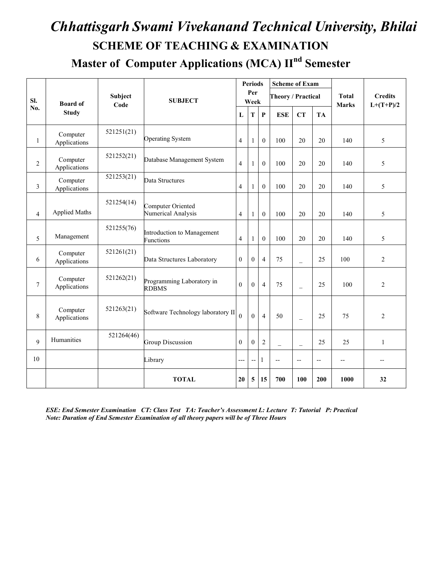## *Chhattisgarh Swami Vivekanand Technical University, Bhilai* **SCHEME OF TEACHING & EXAMINATION**

**Master of Computer Applications (MCA) IInd Semester**

|                |                          |            |                                                |                | <b>Periods</b> |                  | <b>Scheme of Exam</b>    |                          |     |              |                |
|----------------|--------------------------|------------|------------------------------------------------|----------------|----------------|------------------|--------------------------|--------------------------|-----|--------------|----------------|
| SI.            | <b>Board of</b>          | Subject    | <b>SUBJECT</b>                                 |                | Per<br>Week    |                  | Theory / Practical       |                          |     | <b>Total</b> | <b>Credits</b> |
| No.            | <b>Study</b>             | Code       |                                                | L              | т              | $\mathbf{P}$     | <b>ESE</b>               | <b>CT</b>                | TA  | <b>Marks</b> | $L+(T+P)/2$    |
| 1              | Computer<br>Applications | 521251(21) | <b>Operating System</b>                        | $\overline{4}$ | 1              | $\theta$         | 100                      | 20                       | 20  | 140          | 5              |
| 2              | Computer<br>Applications | 521252(21) | Database Management System                     | $\overline{4}$ | 1              | $\theta$         | 100                      | 20                       | 20  | 140          | 5              |
| 3              | Computer<br>Applications | 521253(21) | Data Structures                                | $\overline{4}$ | 1              | $\boldsymbol{0}$ | 100                      | 20                       | 20  | 140          | 5              |
| $\overline{4}$ | <b>Applied Maths</b>     | 521254(14) | Computer Oriented<br>Numerical Analysis        | $\overline{4}$ | $\mathbf{1}$   | $\boldsymbol{0}$ | 100                      | 20                       | 20  | 140          | 5              |
| 5              | Management               | 521255(76) | Introduction to Management<br><b>Functions</b> | $\overline{4}$ | 1              | $\mathbf{0}$     | 100                      | 20                       | 20  | 140          | 5              |
| 6              | Computer<br>Applications | 521261(21) | Data Structures Laboratory                     | $\mathbf{0}$   | $\Omega$       | $\overline{4}$   | 75                       | $\equiv$                 | 25  | 100          | $\overline{c}$ |
| $\overline{7}$ | Computer<br>Applications | 521262(21) | Programming Laboratory in<br><b>RDBMS</b>      | $\mathbf{0}$   | $\Omega$       | $\overline{4}$   | 75                       | $\equiv$                 | 25  | 100          | $\overline{c}$ |
| 8              | Computer<br>Applications | 521263(21) | Software Technology laboratory II              | $\theta$       | $\Omega$       | $\overline{4}$   | 50                       | $\equiv$                 | 25  | 75           | $\overline{2}$ |
| 9              | Humanities               | 521264(46) | Group Discussion                               | $\mathbf{0}$   | $\theta$       | $\overline{c}$   | $\overline{a}$           | L,                       | 25  | 25           | $\mathbf{1}$   |
| 10             |                          |            | Library                                        | ---            | $-$            | 1                | $\overline{\phantom{a}}$ | $\overline{\phantom{m}}$ | $-$ | $-$          | --             |
|                |                          |            | <b>TOTAL</b>                                   | 20             | 5              | 15               | 700                      | 100                      | 200 | 1000         | 32             |

*ESE: End Semester Examination CT: Class Test TA: Teacher's Assessment L: Lecture T: Tutorial P: Practical Note: Duration of End Semester Examination of all theory papers will be of Three Hours*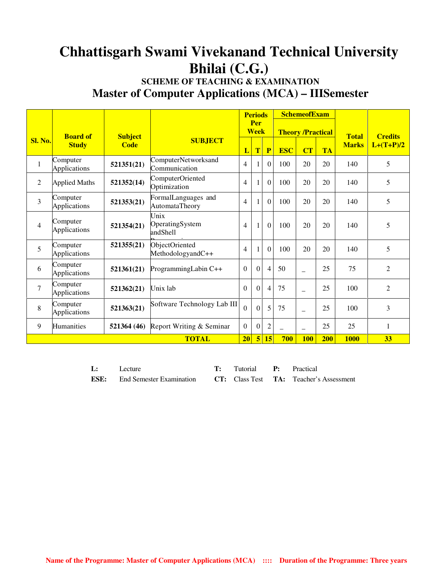## **Chhattisgarh Swami Vivekanand Technical University Bhilai (C.G.)**

### **SCHEME OF TEACHING & EXAMINATION Master of Computer Applications (MCA) – IIISemester**

|                |                          |                |                                       |                          | <b>Periods</b>     |                |            | <b>SchemeofExam</b>      |            |              |                |
|----------------|--------------------------|----------------|---------------------------------------|--------------------------|--------------------|----------------|------------|--------------------------|------------|--------------|----------------|
|                | <b>Board of</b>          | <b>Subject</b> |                                       |                          | Per<br><b>Week</b> |                |            | <b>Theory /Practical</b> |            | <b>Total</b> | <b>Credits</b> |
| <b>Sl. No.</b> | <b>Study</b>             | <b>Code</b>    | <b>SUBJECT</b>                        | L                        | T                  | $\mathbf{P}$   | <b>ESC</b> | CT                       | <b>TA</b>  | <b>Marks</b> | $L+(T+P)/2$    |
| $\mathbf{1}$   | Computer<br>Applications | 521351(21)     | ComputerNetworksand<br>Communication  | $\overline{\mathcal{A}}$ | 1                  | $\Omega$       | 100        | 20                       | 20         | 140          | 5              |
| 2              | <b>Applied Maths</b>     | 521352(14)     | ComputerOriented<br>Optimization      | 4                        |                    | $\theta$       | 100        | 20                       | 20         | 140          | 5              |
| $\overline{3}$ | Computer<br>Applications | 521353(21)     | FormalLanguages and<br>AutomataTheory | $\overline{4}$           |                    | $\overline{0}$ | 100        | 20                       | 20         | 140          | 5              |
| $\overline{4}$ | Computer<br>Applications | 521354(21)     | Unix<br>OperatingSystem<br>andShell   | 4                        | $\mathbf{1}$       | $\overline{0}$ | 100        | 20                       | 20         | 140          | 5              |
| 5              | Computer<br>Applications | 521355(21)     | ObjectOriented<br>MethodologyandC++   | $\overline{4}$           | $\mathbf{1}$       | $\theta$       | 100        | 20                       | 20         | 140          | 5              |
| 6              | Computer<br>Applications | 521361(21)     | ProgrammingLabin C++                  | $\theta$                 | $\Omega$           | $\overline{4}$ | 50         |                          | 25         | 75           | $\overline{2}$ |
| $\tau$         | Computer<br>Applications | 521362(21)     | Unix lab                              | $\Omega$                 | $\overline{0}$     | $\overline{4}$ | 75         | $\qquad \qquad -$        | 25         | 100          | $\overline{2}$ |
| 8              | Computer<br>Applications | 521363(21)     | Software Technology Lab III           | $\theta$                 | $\overline{0}$     | 5              | 75         | $\qquad \qquad -$        | 25         | 100          | 3              |
| 9              | <b>Humanities</b>        | 521364 (46)    | Report Writing & Seminar              | $\Omega$                 | $\Omega$           | $\overline{2}$ |            |                          | 25         | 25           | 1              |
|                |                          |                | <b>TOTAL</b>                          | 20                       | $\overline{5}$     | 15             | 700        | <b>100</b>               | <b>200</b> | <b>1000</b>  | 33             |

| L: | Lecture                                                                                    | <b>T:</b> Tutorial <b>P:</b> Practical |  |
|----|--------------------------------------------------------------------------------------------|----------------------------------------|--|
|    | <b>ESE:</b> End Semester Examination <b>CT:</b> Class Test <b>TA:</b> Teacher's Assessment |                                        |  |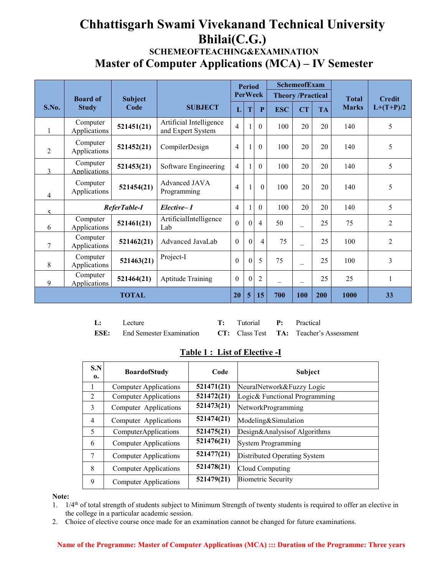### **Chhattisgarh Swami Vivekanand Technical University Bhilai(C.G.) SCHEMEOFTEACHING&EXAMINATION Master of Computer Applications (MCA) – IV Semester**

|                | <b>Board of</b>                 | <b>Subject</b> |                                              |                | <b>Period</b>  | <b>PerWeek</b> | <b>Theory /Practical</b> | <b>SchemeofExam</b>      |           | <b>Total</b> | <b>Credit</b>  |
|----------------|---------------------------------|----------------|----------------------------------------------|----------------|----------------|----------------|--------------------------|--------------------------|-----------|--------------|----------------|
| S.No.          | <b>Study</b>                    | Code           | <b>SUBJECT</b>                               | L              | T              | P              | <b>ESC</b>               | <b>CT</b>                | <b>TA</b> | <b>Marks</b> | $L+(T+P)/2$    |
|                | Computer<br>Applications        | 521451(21)     | Artificial Intelligence<br>and Expert System | $\overline{4}$ |                | $\theta$       | 100                      | 20                       | 20        | 140          | 5              |
| 2              | Computer<br>Applications        | 521452(21)     | CompilerDesign                               | $\overline{4}$ |                | $\theta$       | 100                      | 20                       | 20        | 140          | 5              |
| $\mathbf{3}$   | Computer<br><b>Applications</b> | 521453(21)     | Software Engineering                         | $\overline{4}$ |                | $\mathbf{0}$   | 100                      | 20                       | 20        | 140          | 5              |
| $\overline{4}$ | Computer<br>Applications        | 521454(21)     | Advanced JAVA<br>Programming                 | $\overline{4}$ |                | $\theta$       | 100                      | 20                       | 20        | 140          | 5              |
| $\varsigma$    |                                 | ReferTable-I   | Elective-1                                   | $\overline{4}$ |                | $\theta$       | 100                      | 20                       | 20        | 140          | 5              |
| 6              | Computer<br>Applications        | 521461(21)     | ArtificialIntelligence<br>Lab                | $\mathbf{0}$   | $\theta$       | $\overline{4}$ | 50                       | $\overline{\phantom{0}}$ | 25        | 75           | $\overline{2}$ |
| 7              | Computer<br>Applications        | 521462(21)     | Advanced JavaLab                             | $\theta$       | $\theta$       | $\overline{4}$ | 75                       | $\overline{\phantom{0}}$ | 25        | 100          | $\overline{2}$ |
| 8              | Computer<br>Applications        | 521463(21)     | Project-I                                    | $\Omega$       | $\overline{0}$ | 5              | 75                       | $\overline{\phantom{0}}$ | 25        | 100          | $\overline{3}$ |
| 9              | Computer<br>Applications        | 521464(21)     | <b>Aptitude Training</b>                     | $\theta$       | $\theta$       | $\overline{2}$ | $\overline{\phantom{0}}$ | $\overline{\phantom{0}}$ | 25        | 25           |                |
|                |                                 | <b>TOTAL</b>   |                                              | 20             | 5              | 15             | 700                      | 100                      | 200       | 1000         | 33             |

| L: Lecture |                                                                                            | <b>T:</b> Tutorial <b>P:</b> Practical |  |
|------------|--------------------------------------------------------------------------------------------|----------------------------------------|--|
|            | <b>ESE:</b> End Semester Examination <b>CT:</b> Class Test <b>TA:</b> Teacher's Assessment |                                        |  |

#### **Table 1 : List of Elective -I**

| S.N<br>0.      | <b>BoardofStudy</b>          | Code       | Subject                       |
|----------------|------------------------------|------------|-------------------------------|
|                | <b>Computer Applications</b> | 521471(21) | NeuralNetwork&Fuzzy Logic     |
| 2              | <b>Computer Applications</b> | 521472(21) | Logic& Functional Programming |
| 3              | Computer Applications        | 521473(21) | NetworkProgramming            |
| $\overline{4}$ | Computer Applications        | 521474(21) | Modeling&Simulation           |
| 5              | ComputerApplications         | 521475(21) | Design&Analysis of Algorithms |
| 6              | <b>Computer Applications</b> | 521476(21) | System Programming            |
| 7              | <b>Computer Applications</b> | 521477(21) | Distributed Operating System  |
| 8              | <b>Computer Applications</b> | 521478(21) | Cloud Computing               |
| 9              | <b>Computer Applications</b> | 521479(21) | <b>Biometric Security</b>     |

#### **Note:**

- 1. 1/4th of total strength of students subject to Minimum Strength of twenty students is required to offer an elective in the college in a particular academic session.
- 2. Choice of elective course once made for an examination cannot be changed for future examinations.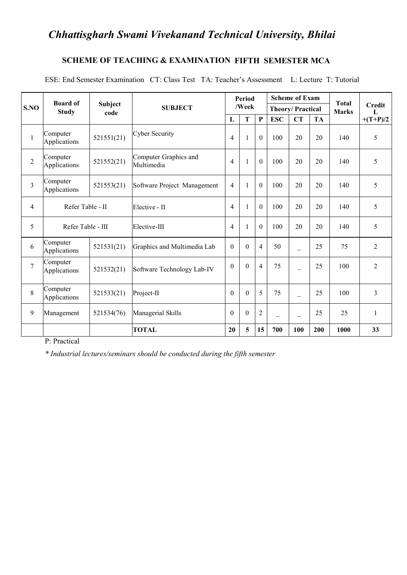### *Chhattisgharh Swami Vivekanand Technical University, Bhilai*

#### **SCHEME OF TEACHING & EXAMINATION FIFTH SEMESTER MCA**

ESE: End Semester Examination CT: Class Test TA: Teacher's Assessment L: Lecture T: Tutorial

|                | <b>Board of</b>          |                 |                                     |                | Period            |                  |            | <b>Scheme of Exam</b>    |           | <b>Total</b> |                    |
|----------------|--------------------------|-----------------|-------------------------------------|----------------|-------------------|------------------|------------|--------------------------|-----------|--------------|--------------------|
| S.NO           | <b>Study</b>             | Subject<br>code | <b>SUBJECT</b>                      |                | /Week             |                  |            | <b>Theory/Practical</b>  |           |              | <b>Credit</b><br>L |
|                |                          |                 |                                     | L              | $\mathbf{P}$<br>T |                  | <b>ESC</b> | <b>CT</b>                | <b>TA</b> |              | $+(T+P)/2$         |
|                | Computer<br>Applications | 521551(21)      | Cyber Security                      | $\overline{4}$ | $\mathbf{1}$      | $\theta$         | 100        | 20                       | 20        | 140          | 5                  |
| $\overline{2}$ | Computer<br>Applications | 521552(21)      | Computer Graphics and<br>Multimedia | $\overline{4}$ | $\mathbf{1}$      | $\boldsymbol{0}$ | 100        | 20                       | 20        | 140          | 5                  |
| $\overline{3}$ | Computer<br>Applications | 521553(21)      | Software Project Management         | $\overline{4}$ | $\mathbf{1}$      | $\theta$         | 100        | 20                       | 20        | 140          | 5                  |
| $\overline{4}$ | Refer Table - II         |                 | Elective - II                       | $\overline{4}$ | $\mathbf{1}$      | $\boldsymbol{0}$ | 100        | 20                       | 20        | 140          | 5                  |
| 5              | Refer Table - III        |                 | Elective-III                        | $\overline{4}$ | $\mathbf{1}$      | $\mathbf{0}$     | 100        | 20                       | 20        | 140          | 5                  |
| 6              | Computer<br>Applications | 521531(21)      | Graphics and Multimedia Lab         | $\overline{0}$ | $\boldsymbol{0}$  | $\overline{4}$   | 50         | $\overline{\phantom{0}}$ | 25        | 75           | $\overline{2}$     |
| $\overline{7}$ | Computer<br>Applications | 521532(21)      | Software Technology Lab-IV          | $\theta$       | $\theta$          | $\overline{4}$   | 75         | $\overline{\phantom{0}}$ | 25        | 100          | $\overline{2}$     |
| 8              | Computer<br>Applications | 521533(21)      | $Project-II$                        | $\theta$       | $\boldsymbol{0}$  | 5                | 75         | $\overline{\phantom{0}}$ | 25        | 100          | 3                  |
| 9              | Management               | 521534(76)      | Managerial Skills                   | $\theta$       | $\boldsymbol{0}$  | $\overline{2}$   | $-$        | -                        | 25        | 25           |                    |
|                |                          |                 | <b>TOTAL</b>                        | 20             | $5\overline{)}$   | 15               | 700        | 100                      | 200       | 1000         | 33                 |

P: Practical

*\* Industrial lectures/seminars should be conducted during the fifth semester*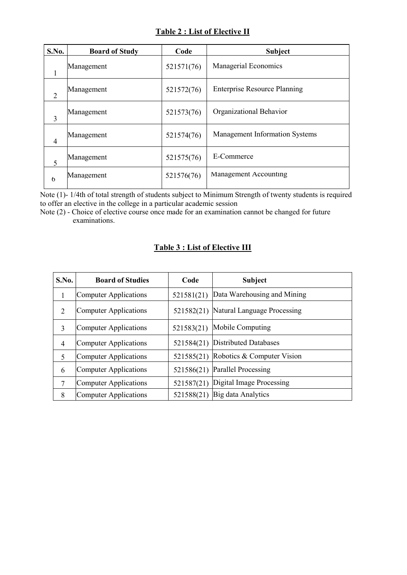#### **Table 2 : List of Elective II**

| S.No.          | <b>Board of Study</b> | Code       | <b>Subject</b>                        |
|----------------|-----------------------|------------|---------------------------------------|
| 1              | Management            | 521571(76) | <b>Managerial Economics</b>           |
| $\overline{2}$ | Management            | 521572(76) | <b>Enterprise Resource Planning</b>   |
| 3              | Management            | 521573(76) | Organizational Behavior               |
| $\overline{4}$ | Management            | 521574(76) | <b>Management Information Systems</b> |
| 5              | Management            | 521575(76) | E-Commerce                            |
| $\mathfrak b$  | Management            | 521576(76) | Management Accounting                 |

Note (1)- 1/4th of total strength of students subject to Minimum Strength of twenty students is required to offer an elective in the college in a particular academic session

Note (2) - Choice of elective course once made for an examination cannot be changed for future examinations.

| S.No.          | <b>Board of Studies</b> | Code       | <b>Subject</b>              |
|----------------|-------------------------|------------|-----------------------------|
|                | Computer Applications   | 521581(21) | Data Warehousing and Mining |
| 2              | Computer Applications   | 521582(21) | Natural Language Processing |
| 3              | Computer Applications   | 521583(21) | Mobile Computing            |
| $\overline{4}$ | Computer Applications   | 521584(21) | Distributed Databases       |
| 5              | Computer Applications   | 521585(21) | Robotics & Computer Vision  |
| 6              | Computer Applications   | 521586(21) | <b>Parallel Processing</b>  |
| 7              | Computer Applications   | 521587(21) | Digital Image Processing    |
| 8              | Computer Applications   | 521588(21) | Big data Analytics          |

#### **Table 3 : List of Elective III**